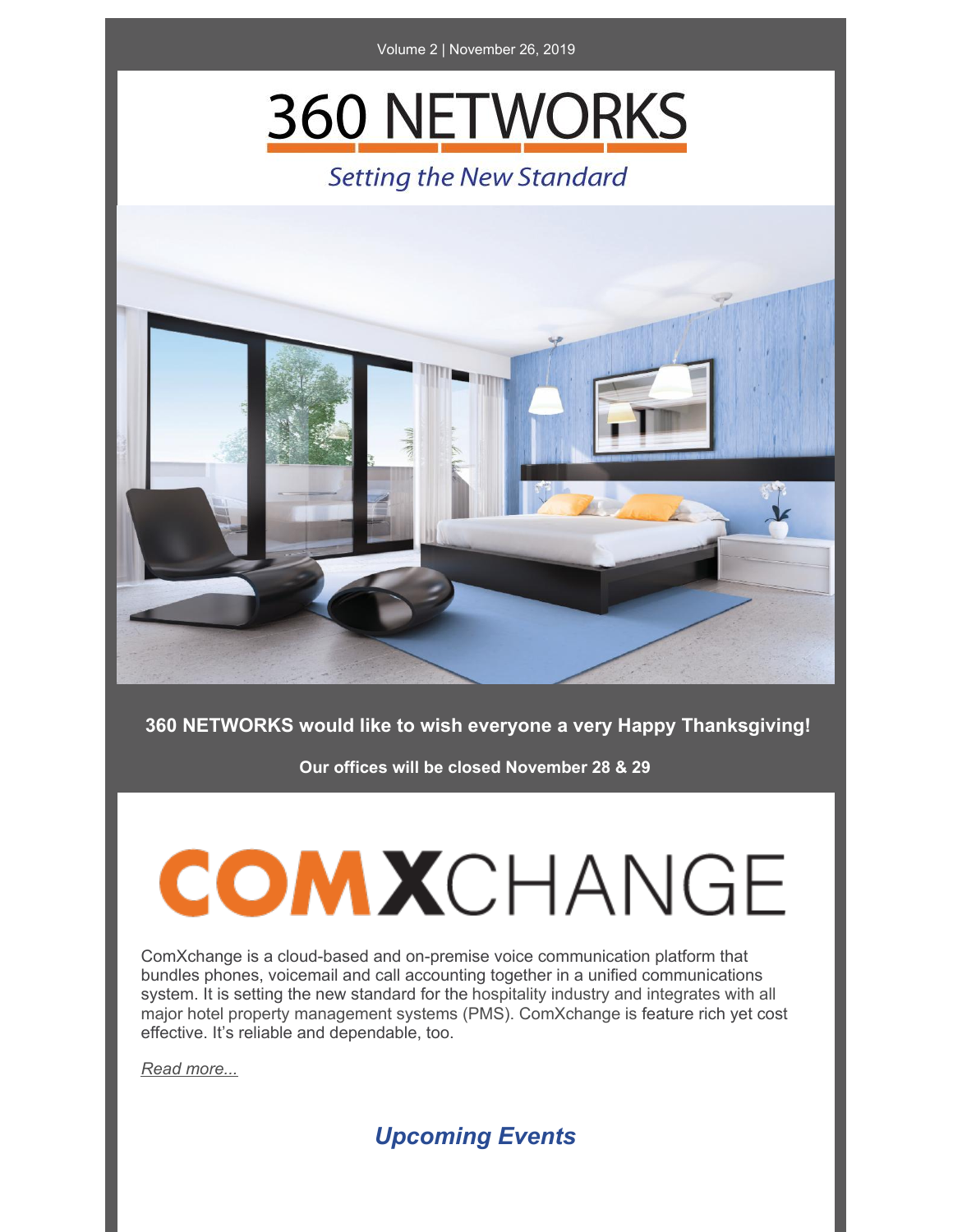

## **360 NETWORKS**

### **Setting the New Standard**



#### **360 NETWORKS would like to wish everyone a very Happy Thanksgiving!**

**Our offices will be closed November 28 & 29**

# COMXCHANGE

ComXchange is a cloud-based and on-premise voice communication platform that bundles phones, voicemail and call accounting together in a unified communications system. It is setting the new standard for the hospitality industry and integrates with all major hotel property management systems (PMS). ComXchange is feature rich yet cost effective. It's reliable and dependable, too.

*Read [more...](https://files.constantcontact.com/5cfeb3dd701/91efa4e8-2b94-4960-868f-78794cb7bbff.pdf)*

*Upcoming Events*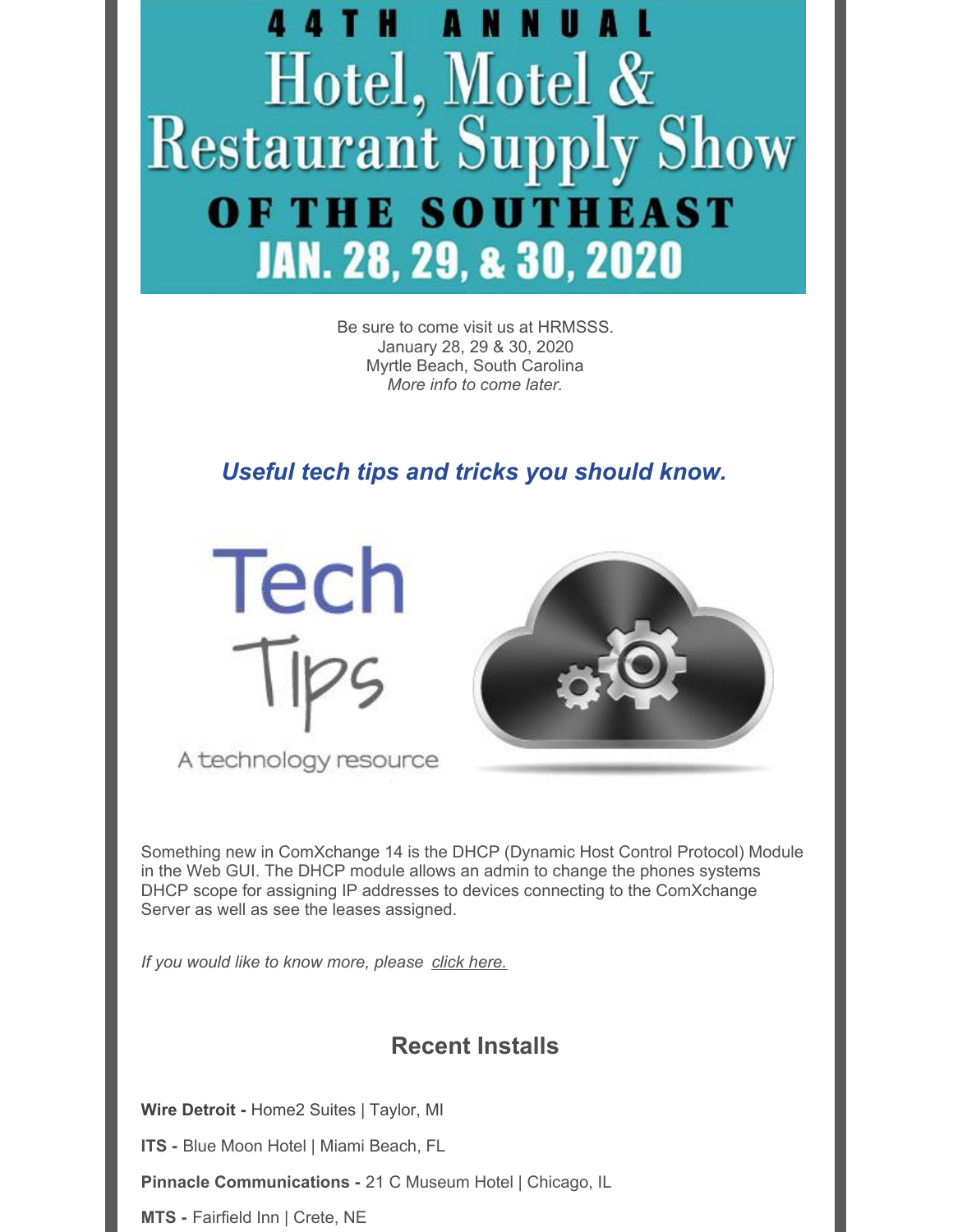

Be sure to come visit us at HRMSSS. January 28, 29 & 30, 2020 Myrtle Beach, South Carolina *More info to come later.*

*Useful tech tips and tricks you should know.*



A technology resource



Something new in ComXchange 14 is the DHCP (Dynamic Host Control Protocol) Module in the Web GUI. The DHCP module allows an admin to change the phones systems DHCP scope for assigning IP addresses to devices connecting to the ComXchange Server as well as see the leases assigned.

*If you would like to know more, please click [here.](https://files.constantcontact.com/5cfeb3dd701/0537950a-943d-4308-93fe-018315007995.pdf)*

### **Recent Installs**

**Wire Detroit -** Home2 Suites | Taylor, MI

**ITS -** Blue Moon Hotel | Miami Beach, FL

**Pinnacle Communications -** 21 C Museum Hotel | Chicago, IL

**MTS -** Fairfield Inn | Crete, NE